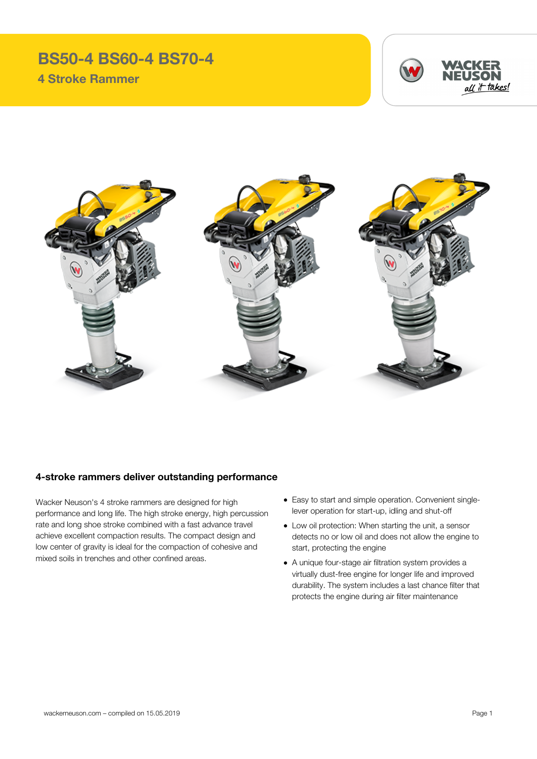## **BS50-4 BS60-4 BS70-4 4 Stroke Rammer**





## **4-stroke rammers deliver outstanding performance**

Wacker Neuson's 4 stroke rammers are designed for high performance and long life. The high stroke energy, high percussion rate and long shoe stroke combined with a fast advance travel achieve excellent compaction results. The compact design and low center of gravity is ideal for the compaction of cohesive and mixed soils in trenches and other confined areas.

- Easy to start and simple operation. Convenient singlelever operation for start-up, idling and shut-off
- Low oil protection: When starting the unit, a sensor detects no or low oil and does not allow the engine to start, protecting the engine
- A unique four-stage air filtration system provides a virtually dust-free engine for longer life and improved durability. The system includes a last chance filter that protects the engine during air filter maintenance